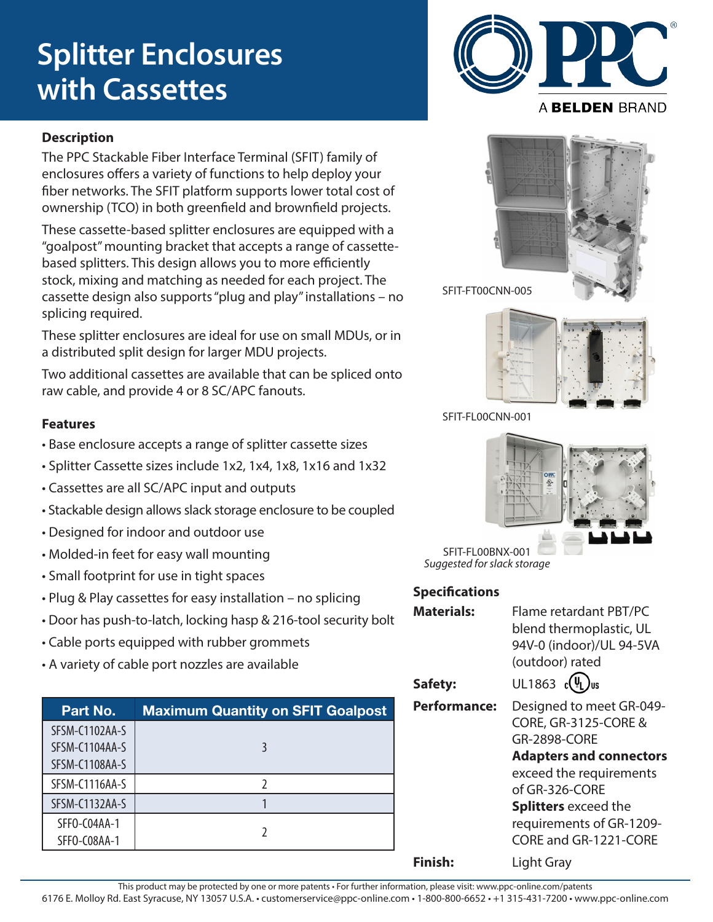# **Splitter Enclosures with Cassettes**

#### **Description**

The PPC Stackable Fiber Interface Terminal (SFIT) family of enclosures offers a variety of functions to help deploy your fiber networks. The SFIT platform supports lower total cost of ownership (TCO) in both greenfield and brownfield projects.

These cassette-based splitter enclosures are equipped with a "goalpost" mounting bracket that accepts a range of cassettebased splitters. This design allows you to more efficiently stock, mixing and matching as needed for each project. The cassette design also supports "plug and play" installations – no splicing required.

These splitter enclosures are ideal for use on small MDUs, or in a distributed split design for larger MDU projects.

Two additional cassettes are available that can be spliced onto raw cable, and provide 4 or 8 SC/APC fanouts.

### **Features**

- Base enclosure accepts a range of splitter cassette sizes
- Splitter Cassette sizes include 1x2, 1x4, 1x8, 1x16 and 1x32
- Cassettes are all SC/APC input and outputs
- Stackable design allows slack storage enclosure to be coupled
- Designed for indoor and outdoor use
- Molded-in feet for easy wall mounting
- Small footprint for use in tight spaces
- Plug & Play cassettes for easy installation no splicing
- Door has push-to-latch, locking hasp & 216-tool security bolt
- Cable ports equipped with rubber grommets
- A variety of cable port nozzles are available

| Part No.                         | <b>Maximum Quantity on SFIT Goalpost</b> |
|----------------------------------|------------------------------------------|
| SFSM-C1102AA-S<br>SFSM-C1104AA-S |                                          |
| SFSM-C1108AA-S                   |                                          |
| SFSM-C1116AA-S                   |                                          |
| SFSM-C1132AA-S                   |                                          |
| SFFO-CO4AA-1<br>SFFO-C08AA-1     |                                          |







SFIT-FL00BNX-001 *Suggested for slack storage*

#### **Specifications**

| <b>Materials:</b>   | Flame retardant PBT/PC          |  |  |  |
|---------------------|---------------------------------|--|--|--|
|                     | blend thermoplastic, UL         |  |  |  |
|                     | 94V-0 (indoor)/UL 94-5VA        |  |  |  |
|                     | (outdoor) rated                 |  |  |  |
| Safety:             | UL1863 $c(\Psi_L)$ us           |  |  |  |
| <b>Performance:</b> | Designed to meet GR-049-        |  |  |  |
|                     | <b>CORE, GR-3125-CORE &amp;</b> |  |  |  |
|                     | <b>GR-2898-CORE</b>             |  |  |  |
|                     | <b>Adapters and connectors</b>  |  |  |  |
|                     | exceed the requirements         |  |  |  |
|                     | of GR-326-CORE                  |  |  |  |
|                     | <b>Splitters</b> exceed the     |  |  |  |
|                     | requirements of GR-1209-        |  |  |  |
|                     | CORE and GR-1221-CORE           |  |  |  |
| Finish:             | Light Gray                      |  |  |  |